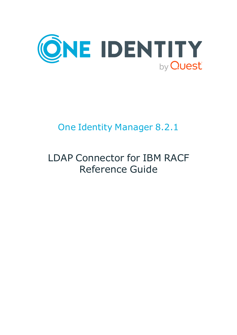

# One Identity Manager 8.2.1

# LDAP Connector for IBM RACF Reference Guide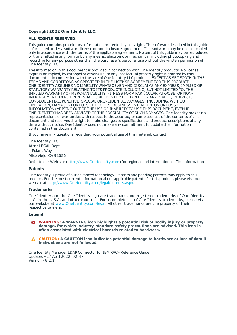#### **Copyright 2022 One Identity LLC.**

#### **ALL RIGHTS RESERVED.**

This guide contains proprietary information protected by copyright. The software described in this guide is furnished under a software license or nondisclosure agreement. This software may be used or copied only in accordance with the terms of the applicable agreement. No part of this guide may be reproduced or transmitted in any form or by any means, electronic or mechanical, including photocopying and recording for any purpose other than the purchaser's personal use without the written permission of One Identity LLC .

The information in this document is provided in connection with One Identity products. No license, express or implied, by estoppel or otherwise, to any intellectual property right is granted by this document or in connection with the sale of One Identity LLC products. EXCEPT AS SET FORTH IN THE TERMS AND CONDITIONS AS SPECIFIED IN THE LICENSE AGREEMENT FOR THIS PRODUCT, ONE IDENTITY ASSUMES NO LIABILITY WHATSOEVER AND DISCLAIMS ANY EXPRESS, IMPLIED OR STATUTORY WARRANTY RELATING TO ITS PRODUCTS INCLUDING, BUT NOT LIMITED TO, THE IMPLIED WARRANTY OF MERCHANTABILITY, FITNESS FOR A PARTICULAR PURPOSE, OR NON-INFRINGEMENT. IN NO EVENT SHALL ONE IDENTITY BE LIABLE FOR ANY DIRECT, INDIRECT, CONSEQUENTIAL, PUNITIVE, SPECIAL OR INCIDENTAL DAMAGES (INCLUDING, WITHOUT LIMITATION, DAMAGES FOR LOSS OF PROFITS, BUSINESS INTERRUPTION OR LOSS OF INFORMATION) ARISING OUT OF THE USE OR INABILITY TO USE THIS DOCUMENT, EVEN IF ONE IDENTITY HAS BEEN ADVISED OF THE POSSIBILITY OF SUCH DAMAGES. One Identity makes no representations or warranties with respect to the accuracy or completeness of the contents of this document and reserves the right to make changes to specifications and product descriptions at any time without notice. One Identity does not make any commitment to update the information contained in this document.

If you have any questions regarding your potential use of this material, contact:

One Identity LLC. Attn: LEGAL Dept 4 Polaris Way Aliso Viejo, CA 92656

Refer to our Web site ([http://www.OneIdentity.com](http://www.oneidentity.com/)) for regional and international office information.

#### **Patents**

One Identity is proud of our advanced technology. Patents and pending patents may apply to this product. For the most current information about applicable patents for this product, please visit our website at [http://www.OneIdentity.com/legal/patents.aspx](http://www.oneidentity.com/legal/patents.aspx).

#### **Trademarks**

One Identity and the One Identity logo are trademarks and registered trademarks of One Identity LLC. in the U.S.A. and other countries. For a complete list of One Identity trademarks, please visit our website at [www.OneIdentity.com/legal](http://www.oneidentity.com/legal). All other trademarks are the property of their respective owners.

#### **Legend**

**WARNING: A WARNING icon highlights a potential risk of bodily injury or property damage, for which industry-standard safety precautions are advised. This icon is often associated with electrical hazards related to hardware.**

**CAUTION: A CAUTION icon indicates potential damage to hardware or loss of data if** A **instructions are not followed.**

One Identity Manager LDAP Connector for IBM RACF Reference Guide Updated - 27 April 2022, 02:47 Version - 8.2.1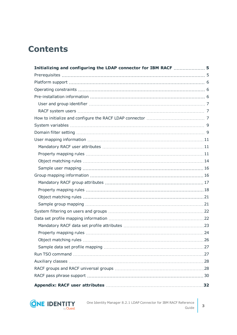### **Contents**

| Initializing and configuring the LDAP connector for IBM RACF  5 |  |
|-----------------------------------------------------------------|--|
|                                                                 |  |
|                                                                 |  |
|                                                                 |  |
|                                                                 |  |
|                                                                 |  |
|                                                                 |  |
|                                                                 |  |
|                                                                 |  |
|                                                                 |  |
|                                                                 |  |
|                                                                 |  |
|                                                                 |  |
|                                                                 |  |
|                                                                 |  |
|                                                                 |  |
|                                                                 |  |
|                                                                 |  |
|                                                                 |  |
|                                                                 |  |
|                                                                 |  |
|                                                                 |  |
|                                                                 |  |
|                                                                 |  |
|                                                                 |  |
|                                                                 |  |
|                                                                 |  |
|                                                                 |  |
|                                                                 |  |
|                                                                 |  |
|                                                                 |  |

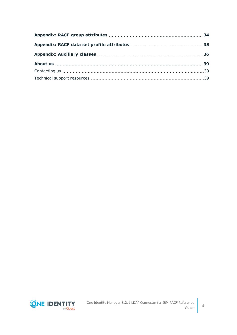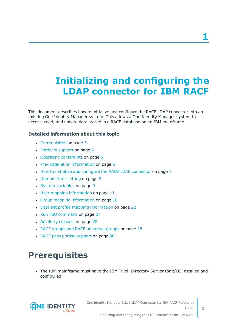# <span id="page-4-0"></span>**Initializing and configuring the LDAP connector for IBM RACF**

This document describes how to initialize and configure the RACF LDAP connector into an existing One Identity Manager system. This allows a One Identity Manager system to access, read, and update data stored in a RACF database on an IBM mainframe.

### **Detailed information about this topic**

- [Prerequisites](#page-4-1) on page 5
- $\cdot$  [Platform](#page-5-0) support on page 6
- $\cdot$  Operating [constraints](#page-5-1) on page 6
- $\cdot$  [Pre-installation](#page-5-2) information on page 6
- How to initialize and configure the RACF LDAP [connector](#page-6-2) on page 7
- [Domain](#page-8-1) filter setting on page 9
- System [variables](#page-8-0) on page 9
- $\cdot$  User mapping [information](#page-10-0) on page 11
- Group mapping [information](#page-15-1) on page 16
- Data set profile mapping [information](#page-21-1) on page 22
- Run TSO [command](#page-26-1) on page 27
- [Auxiliary](#page-27-0) classes on page 28
- RACF groups and RACF [universal](#page-27-1) groups on page 28
- <span id="page-4-1"></span>• RACF pass phrase [support](#page-29-0) on page 30

### **Prerequisites**

• The IBM mainframe must have the IBM Tivoli Directory Server for z/OS installed and configured.

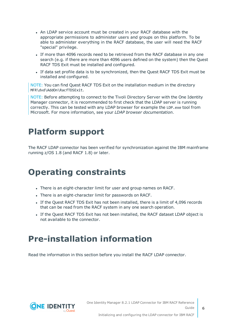- An LDAP service account must be created in your RACF database with the appropriate permissions to administer users and groups on this platform. To be able to administer everything in the RACF database, the user will need the RACF "special" privilege.
- If more than 4096 records need to be retrieved from the RACF database in any one search (e.g. if there are more than 4096 users defined on the system) then the Quest RACF TDS Exit must be installed and configured.
- <sup>l</sup> If data set profile data is to be synchronized, then the Quest RACF TDS Exit must be installed and configured.

NOTE: You can find Quest RACF TDS Exit on the installation medium in the directory MFR\dvd\AddOn\RacfTDSExit.

NOTE: Before attempting to connect to the Tivoli Directory Server with the One Identity Manager connector, it is recommended to first check that the LDAP server is running correctly. This can be tested with any LDAP browser for example the LDP.exe tool from Microsoft. For more information, see your *LDAP browser documentation*.

### <span id="page-5-0"></span>**Platform support**

The RACF LDAP connector has been verified for synchronization against the IBM mainframe running z/OS 1.8 (and RACF 1.8) or later.

### <span id="page-5-1"></span>**Operating constraints**

- There is an eight-character limit for user and group names on RACF.
- There is an eight-character limit for passwords on RACF.
- If the Quest RACF TDS Exit has not been installed, there is a limit of 4,096 records that can be read from the RACF system in any one search operation.
- If the Quest RACF TDS Exit has not been installed, the RACF dataset LDAP object is not available to the connector.

### <span id="page-5-2"></span>**Pre-installation information**

Read the information in this section before you install the RACF LDAP connector.

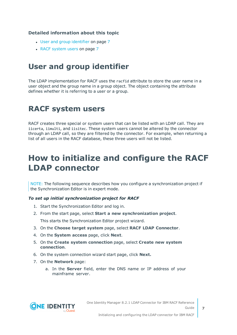### **Detailed information about this topic**

- User and group [identifier](#page-6-0) on page 7
- RACF [system](#page-6-1) users on page 7

### <span id="page-6-0"></span>**User and group identifier**

The LDAP implementation for RACF uses the racfid attribute to store the user name in a user object and the group name in a group object. The object containing the attribute defines whether it is referring to a user or a group.

### <span id="page-6-1"></span>**RACF system users**

RACF creates three special or system users that can be listed with an LDAP call. They are iicerta, iimulti, and iisitec. These system users cannot be altered by the connector through an LDAP call, so they are filtered by the connector. For example, when returning a list of all users in the RACF database, these three users will not be listed.

### <span id="page-6-2"></span>**How to initialize and configure the RACF LDAP connector**

NOTE: The following sequence describes how you configure a synchronization project if the Synchronization Editor is in expert mode.

### *To set up initial synchronization project for RACF*

- 1. Start the Synchronization Editor and log in.
- 2. From the start page, select **Start a new synchronization project**. This starts the Synchronization Editor project wizard.
- 3. On the **Choose target system** page, select **RACF LDAP Connector**.
- 4. On the **System access** page, click **Next**.
- 5. On the **Create system connection** page, select **Create new system connection**.
- 6. On the system connection wizard start page, click **Next.**
- 7. On the **Network** page:
	- a. In the **Server** field, enter the DNS name or IP address of your mainframe server.

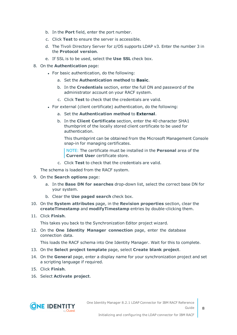- b. In the **Port** field, enter the port number.
- c. Click **Test** to ensure the server is accessible.
- d. The Tivoli Directory Server for z/OS supports LDAP v3. Enter the number 3 in the **Protocol version**.
- e. If SSL is to be used, select the **Use SSL** check box.
- 8. On the **Authentication** page:
	- For basic authentication, do the following:
		- a. Set the **Authentication method** to **Basic**.
		- b. In the **Credentials** section, enter the full DN and password of the administrator account on your RACF system.
		- c. Click **Test** to check that the credentials are valid.
	- For external (client certificate) authentication, do the following:
		- a. Set the **Authentication method** to **External**.
		- b. In the **Client Certificate** section, enter the 40 character SHA1 thumbprint of the locally stored client certificate to be used for authentication.

This thumbprint can be obtained from the Microsoft Management Console snap-in for managing certificates.

NOTE: The certificate must be installed in the **Personal** area of the **Current User** certificate store.

c. Click **Test** to check that the credentials are valid.

The schema is loaded from the RACF system.

- 9. On the **Search options** page:
	- a. In the **Base DN for searches** drop-down list, select the correct base DN for your system.
	- b. Clear the **Use paged search** check box.
- 10. On the **System attributes** page, in the **Revision properties** section, clear the **createTimestamp** and **modifyTimestamp** entries by double-clicking them.
- 11. Click **Finish**.

This takes you back to the Synchronization Editor project wizard.

12. On the **One Identity Manager connection** page, enter the database connection data.

This loads the RACF schema into One Identity Manager. Wait for this to complete.

- 13. On the **Select project template** page, select **Create blank project**.
- 14. On the **General** page, enter a display name for your synchronization project and set a scripting language if required.
- 15. Click **Finish**.
- 16. Select **Activate project**.

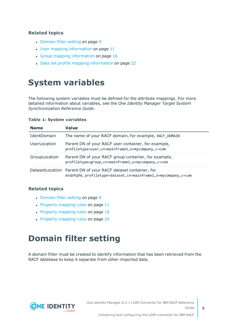### **Related topics**

- [Domain](#page-8-1) filter setting on page 9
- User mapping [information](#page-10-0) on page 11
- Group mapping [information](#page-15-1) on page 16
- <span id="page-8-0"></span>• Data set profile mapping [information](#page-21-1) on page 22

### **System variables**

The following system variables must be defined for the attribute mappings. For more detailed information about variables, see the *One Identity Manager Target System Synchronization Reference Guide*.

#### **Table 1: System variables**

| <b>Name</b>         | <b>Value</b>                                                                                                                     |
|---------------------|----------------------------------------------------------------------------------------------------------------------------------|
| IdentDomain         | The name of your RACF domain, for example, RACF DOMAIN                                                                           |
| <b>UserLocation</b> | Parent DN of your RACF user container, for example,<br>profiletype=user, cn=mainframe1, o=mycompany, c=com                       |
| GroupLocation       | Parent DN of your RACF group container, for example,<br>profiletype=group, cn=mainframe1, o=mycompany, c=com                     |
|                     | DatasetLocation Parent DN of your RACF dataset container, for<br>example, profiletype=dataset, cn=mainframe1, o=mycompany, c=com |

#### **Related topics**

- [Domain](#page-8-1) filter setting on page 9
- $\cdot$  Property [mapping](#page-10-2) rules on page 11
- $\cdot$  Property [mapping](#page-17-0) rules on page 18
- Property [mapping](#page-23-0) rules on page 24

### <span id="page-8-1"></span>**Domain filter setting**

A domain filter must be created to identify information that has been retrieved from the RACF database to keep it separate from other imported data.

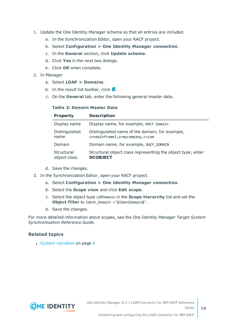- 1. Update the One Identity Manager schema so that all entries are included.
	- a. In the Synchronization Editor, open your RACF project.
	- b. Select **Configuration > One Identity Manager connection**.
	- c. In the **General** section, click **Update schema**.
	- d. Click **Yes** in the next two dialogs.
	- e. Click **OK** when complete.
- 2. In Manager
	- a. Select **LDAP > Domains**.
	- b. In the result list toolbar, click  $\mathbf{L}$ .
	- c. On the **General** tab, enter the following general master data.

#### **Table 2: Domain Master Data**

| <b>Property</b>            | <b>Description</b>                                                                |
|----------------------------|-----------------------------------------------------------------------------------|
| Display name               | Display name, for example, RACF Domain                                            |
| Distinguished<br>name      | Distinguished name of the domain, for example,<br>cn=mainframe1,o=mycompany,c=com |
| Domain                     | Domain name, for example, RACF DOMAIN                                             |
| Structural<br>object class | Structural object class representing the object type; enter<br><b>DCOBJECT</b>    |

- d. Save the changes.
- 3. In the Synchronization Editor, open your RACF project.
	- a. Select **Configuration > One Identity Manager connection**.
	- b. Select the **Scope view** and click **Edit scope**.
	- c. Select the object type LDPDomain in the **Scope hierarchy** list and set the **Object filter** to Ident\_Domain ='\$IdentDomain\$'.
	- d. Save the changes.

For more detailed information about scopes, see the *One Identity Manager Target System Synchronization Reference Guide*.

#### **Related topics**

• System [variables](#page-8-0) on page 9



**10**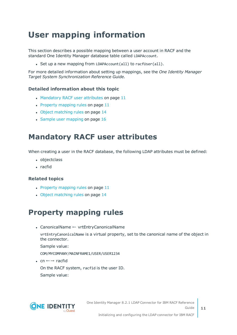## <span id="page-10-0"></span>**User mapping information**

This section describes a possible mapping between a user account in RACF and the standard One Identity Manager database table called LDAPAccount.

• Set up a new mapping from LDAPAccount(all) to racfUser(all).

For more detailed information about setting up mappings, see the *One Identity Manager Target System Synchronization Reference Guide.*

### **Detailed information about this topic**

- [Mandatory](#page-10-1) RACF user attributes on page 11
- $\cdot$  Property [mapping](#page-10-2) rules on page 11
- Object [matching](#page-13-0) rules on page 14
- $\cdot$  Sample user [mapping](#page-15-0) on page 16

### <span id="page-10-1"></span>**Mandatory RACF user attributes**

When creating a user in the RACF database, the following LDAP attributes must be defined:

- objectclass
- $rac{1}{2}$  racfid

### **Related topics**

- $\cdot$  Property [mapping](#page-10-2) rules on page 11
- Object [matching](#page-13-0) rules on page 14

### <span id="page-10-2"></span>**Property mapping rules**

• CanonicalName ← vrtEntryCanonicalName

vrtEntryCanonicalName is a virtual property, set to the canonical name of the object in the connector.

Sample value:

COM/MYCOMPANY/MAINFRAME1/USER/USER1234

 $\cdot$  cn  $\leftarrow \rightarrow$  racfid

On the RACF system, racfid is the user ID. Sample value:

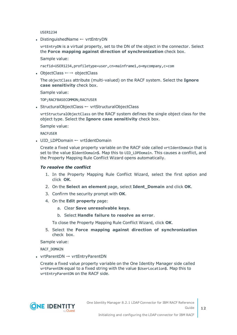USER1234

• DistinguishedName ← vrtEntryDN

vrtEntryDN is a virtual property, set to the DN of the object in the connector. Select the **Force mapping against direction of synchronization** check box.

Sample value:

racfid=USER1234,profiletype=user,cn=mainframe1,o=mycompany,c=com

• ObjectClass  $\leftarrow \rightarrow$  objectClass

The objectClass attribute (multi-valued) on the RACF system. Select the **Ignore case sensitivity** check box.

Sample value:

TOP;RACFBASECOMMON;RACFUSER

• StructuralObjectClass ← vrtStructuralObjectClass

vrtStructuralObjectClass on the RACF system defines the single object class for the object type. Select the **Ignore case sensitivity** check box.

Sample value:

RACFUSER

• UID LDPDomain ← vrtIdentDomain

Create a fixed value property variable on the RACF side called vrtIdentDomain that is set to the value \$IdentDomain\$. Map this to UID LDPDomain. This causes a conflict, and the Property Mapping Rule Conflict Wizard opens automatically.

#### *To resolve the conflict*

- 1. In the Property Mapping Rule Conflict Wizard, select the first option and click **OK**.
- 2. On the **Select an element** page, select **Ident\_Domain** and click **OK**.
- 3. Confirm the security prompt with **OK**.
- 4. On the **Edit property** page:
	- a. Clear **Save unresolvable keys**.
	- b. Select **Handle failure to resolve as error**.

To close the Property Mapping Rule Conflict Wizard, click **OK**.

5. Select the **Force mapping against direction of synchronization** check box.

Sample value:

RACF\_DOMAIN

• vrtParentDN  $\rightarrow$  vrtEntryParentDN

Create a fixed value property variable on the One Identity Manager side called vrtParentDN equal to a fixed string with the value \$UserLocation\$. Map this to vrtEntryParentDN on the RACF side.

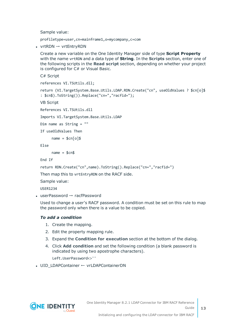Sample value:

profiletype=user,cn=mainframe1,o=mycompany,c=com

• vrtRDN  $\rightarrow$  vrtEntryRDN

Create a new variable on the One Identity Manager side of type **Script Property** with the name vrtRDN and a data type of **String**. In the **Scripts** section, enter one of the following scripts in the **Read script** section, depending on whether your project is configured for C# or Visual Basic.

C# Script

references VI.TSUtils.dll;

return (VI.TargetSystem.Base.Utils.LDAP.RDN.Create("cn", useOldValues ? \$cn[o]\$ : \$cn\$).ToString()).Replace("cn=","racfid=");

VB Script

References VI.TSUtils.dll

Imports VI.TargetSystem.Base.Utils.LDAP

```
Dim name as String = ""
```
If useOldValues Then

 $name = $cn[o]$ \$

Else

 $name = $cn$$ 

End If

return RDN.Create("cn",name).ToString().Replace("cn=","racfid=")

Then map this to vrtEntryRDN on the RACF side.

Sample value:

USER1234

 $\bullet$  userPassword  $\rightarrow$  racfPassword

Used to change a user's RACF password. A condition must be set on this rule to map the password only when there is a value to be copied.

#### *To add a condition*

- 1. Create the mapping.
- 2. Edit the property mapping rule.
- 3. Expand the **Condition for execution** section at the bottom of the dialog.
- 4. Click **Add condition** and set the following condition (a blank password is indicated by using two apostrophe characters).

Left.UserPassword<>''

• UID LDAPContainer ← vrLDAPContainerDN



**13**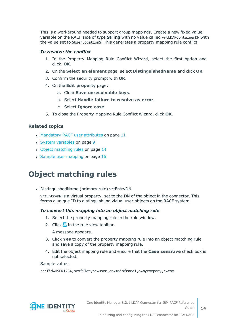This is a workaround needed to support group mappings. Create a new fixed value variable on the RACF side of type **String** with no value called vrtLDAPContainerDN with the value set to \$UserLocation\$. This generates a property mapping rule conflict.

### *To resolve the conflict*

- 1. In the Property Mapping Rule Conflict Wizard, select the first option and click **OK**.
- 2. On the **Select an element** page, select **DistinguishedName** and click **OK**.
- 3. Confirm the security prompt with **OK**.
- 4. On the **Edit property** page:
	- a. Clear **Save unresolvable keys**.
	- b. Select **Handle failure to resolve as error**.
	- c. Select **Ignore case**.
- 5. To close the Property Mapping Rule Conflict Wizard, click **OK**.

### **Related topics**

- [Mandatory](#page-10-1) RACF user attributes on page 11
- System [variables](#page-8-0) on page 9
- Object [matching](#page-13-0) rules on page 14
- Sample user [mapping](#page-15-0) on page 16

### <span id="page-13-0"></span>**Object matching rules**

• DistinguishedName (primary rule) vrtEntryDN

vrtEntryDN is a virtual property, set to the DN of the object in the connector. This forms a unique ID to distinguish individual user objects on the RACF system.

#### *To convert this mapping into an object matching rule*

- 1. Select the property mapping rule in the rule window.
- 2. Click  $\overline{a}$  in the rule view toolbar.

A message appears.

- 3. Click **Yes** to convert the property mapping rule into an object matching rule and save a copy of the property mapping rule.
- 4. Edit the object mapping rule and ensure that the **Case sensitive** check box is not selected.

Sample value:

racfid=USER1234,profiletype=user,cn=mainframe1,o=mycompany,c=com

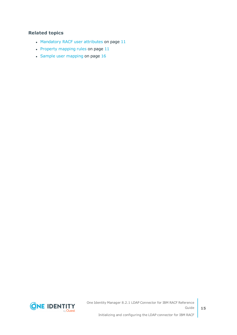### **Related topics**

- [Mandatory](#page-10-1) RACF user attributes on page 11
- Property [mapping](#page-10-2) rules on page  $11$
- Sample user [mapping](#page-15-0) on page  $16$



One Identity Manager 8.2.1 LDAP Connector for IBM RACF Reference Guide Initializing and configuring the LDAP connector for IBM RACF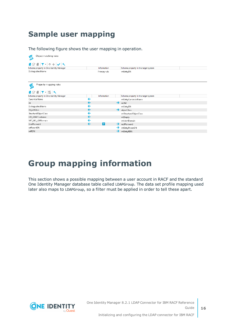### <span id="page-15-0"></span>**Sample user mapping**

The following figure shows the user mapping in operation.



### <span id="page-15-1"></span>**Group mapping information**

This section shows a possible mapping between a user account in RACF and the standard One Identity Manager database table called LDAPGroup. The data set profile mapping used later also maps to LDAPGroup, so a filter must be applied in order to tell these apart.

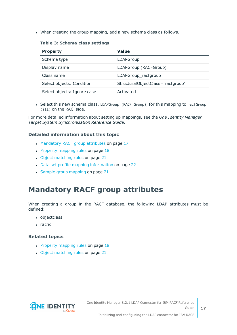. When creating the group mapping, add a new schema class as follows.

#### **Table 3: Schema class settings**

| <b>Property</b>             | Value                             |
|-----------------------------|-----------------------------------|
| Schema type                 | LDAPGroup                         |
| Display name                | LDAPGroup (RACFGroup)             |
| Class name                  | LDAPGroup_racfgroup               |
| Select objects: Condition   | StructuralObjectClass='racfgroup' |
| Select objects: Ignore case | Activated                         |

• Select this new schema class, LDAPGroup (RACF Group), for this mapping to racfGroup (all) on the RACFside.

For more detailed information about setting up mappings, see the *One Identity Manager Target System Synchronization Reference Guide*.

### **Detailed information about this topic**

- [Mandatory](#page-16-0) RACF group attributes on page 17
- $\cdot$  Property [mapping](#page-17-0) rules on page 18
- Object [matching](#page-20-0) rules on page 21
- Data set profile mapping [information](#page-21-1) on page 22
- Sample group [mapping](#page-20-1) on page 21

### <span id="page-16-0"></span>**Mandatory RACF group attributes**

When creating a group in the RACF database, the following LDAP attributes must be defined:

- objectclass
- $\cdot$  racfid

#### **Related topics**

- $\cdot$  Property [mapping](#page-17-0) rules on page 18
- Object [matching](#page-20-0) rules on page 21

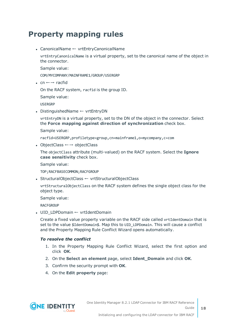### <span id="page-17-0"></span>**Property mapping rules**

• CanonicalName ← vrtEntryCanonicalName

vrtEntryCanonicalName is a virtual property, set to the canonical name of the object in the connector.

Sample value:

COM/MYCOMPANY/MAINFRAME1/GROUP/USERGRP

• cn  $\leftarrow \rightarrow$  racfid

On the RACF system, racfid is the group ID.

Sample value:

USERGRP

• DistinguishedName ← vrtEntryDN

vrtEntryDN is a virtual property, set to the DN of the object in the connector. Select the **Force mapping against direction of synchronization** check box.

Sample value:

racfid=USERGRP,profiletype=group,cn=mainframe1,o=mycompany,c=com

• ObjectClass  $\leftarrow$  → objectClass

The objectClass attribute (multi-valued) on the RACF system. Select the **Ignore case sensitivity** check box.

Sample value:

TOP;RACFBASECOMMON;RACFGROUP

• StructuralObjectClass ← vrtStructuralObjectClass

vrtStructuralObjectClass on the RACF system defines the single object class for the object type.

Sample value:

**RACFGROUP** 

• UID\_LDPDomain ← vrtIdentDomain

Create a fixed value property variable on the RACF side called vrtIdentDomain that is set to the value \$IdentDomain\$. Map this to UID LDPDomain. This will cause a conflict and the Property Mapping Rule Conflict Wizard opens automatically.

#### *To resolve the conflict*

- 1. In the Property Mapping Rule Conflict Wizard, select the first option and click **OK**.
- 2. On the **Select an element** page, select **Ident\_Domain** and click **OK**.
- 3. Confirm the security prompt with **OK**.
- 4. On the **Edit property** page:

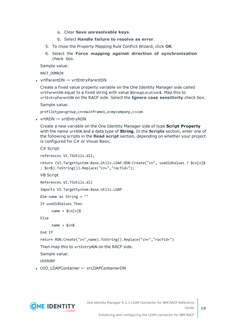- a. Clear **Save unresolvable keys**.
- b. Select **Handle failure to resolve as error**.
- 5. To close the Property Mapping Rule Conflict Wizard, click **OK**.
- 6. Select the **Force mapping against direction of synchronization** check box.

Sample value:

RACF\_DOMAIN

• vrtParentDN  $\rightarrow$  vrtEntryParentDN

Create a fixed value property variable on the One Identity Manager side called vrtParentDN equal to a fixed string with value \$GroupLocation\$. Map this to vrtEntryParentDN on the RACF side. Select the **Ignore case sensitivity** check box.

Sample value:

profiletype=group,cn=mainframe1,o=mycompany,c=com

• vrtRDN  $\rightarrow$  vrtEntryRDN

Create a new variable on the One Identity Manager side of type **Script Property** with the name vrtRDN and a data type of **String**. In the **Scripts** section, enter one of the following scripts in the **Read script** section, depending on whether your project is configured for C# or Visual Basic.

C# Script

references VI.TSUtils.dll;

```
return (VI.TargetSystem.Base.Utils.LDAP.RDN.Create("cn", useOldValues ? $cn[o]$ 
: $cn$).ToString()).Replace("cn=","racfid=");
```
VB Script

```
References VI.TSUtils.dll
```
Imports VI.TargetSystem.Base.Utils.LDAP

Dim name as String = ""

If useOldValues Then

 $name = $cn[o]$ \$

Else

 $name = $cn$$ 

End If

return RDN.Create("cn",name).ToString().Replace("cn=","racfid=")

Then map this to vrtEntryRDN on the RACF side.

Sample value:

USERGRP

• UID LDAPContainer ← vrLDAPContainerDN

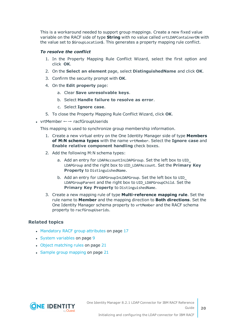This is a workaround needed to support group mappings. Create a new fixed value variable on the RACF side of type **String** with no value called vrtLDAPContainerDN with the value set to \$GroupLocation\$. This generates a property mapping rule conflict.

### *To resolve the conflict*

- 1. In the Property Mapping Rule Conflict Wizard, select the first option and click **OK**.
- 2. On the **Select an element** page, select **DistinguishedName** and click **OK**.
- 3. Confirm the security prompt with **OK**.
- 4. On the **Edit property** page:
	- a. Clear **Save unresolvable keys**.
	- b. Select **Handle failure to resolve as error**.
	- c. Select **Ignore case**.
- 5. To close the Property Mapping Rule Conflict Wizard, click **OK**.
- vrtMember  $\leftarrow \rightarrow$  racfGroupUserids

This mapping is used to synchronize group membership information.

- 1. Create a new virtual entry on the One Identity Manager side of type **Members of M:N schema types** with the name vrtMember. Select the **Ignore case** and **Enable relative component handling** check boxes.
- 2. Add the following M:N schema types:
	- a. Add an entry for LDAPAccountInLDAPGroup. Set the left box to UID\_ LDAPGroup and the right box to UID\_LDAPAccount. Set the **Primary Key Property** to DistinguishedName.
	- b. Add an entry for LDAPGroupInLDAPGroup. Set the left box to UID\_ LDAPGroupParent and the right box to UID\_LDAPGroupChild. Set the **Primary Key Property** to DistinguishedName.
- 3. Create a new mapping rule of type **Multi-reference mapping rule**. Set the rule name to **Member** and the mapping direction to **Both directions**. Set the One Identity Manager schema property to vrtMember and the RACF schema property to racfGroupUserids.

### **Related topics**

- [Mandatory](#page-16-0) RACF group attributes on page 17
- System [variables](#page-8-0) on page 9
- Object [matching](#page-20-0) rules on page 21
- Sample group [mapping](#page-20-1) on page 21

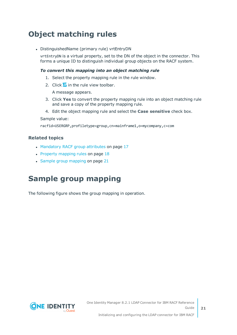### <span id="page-20-0"></span>**Object matching rules**

• DistinguishedName (primary rule) vrtEntryDN

vrtEntryDN is a virtual property, set to the DN of the object in the connector. This forms a unique ID to distinguish individual group objects on the RACF system.

#### *To convert this mapping into an object matching rule*

- 1. Select the property mapping rule in the rule window.
- 2. Click  $\overline{a}$  in the rule view toolbar.

A message appears.

- 3. Click **Yes** to convert the property mapping rule into an object matching rule and save a copy of the property mapping rule.
- 4. Edit the object mapping rule and select the **Case sensitive** check box.

#### Sample value:

racfid=USERGRP,profiletype=group,cn=mainframe1,o=mycompany,c=com

### **Related topics**

- [Mandatory](#page-16-0) RACF group attributes on page 17
- $\cdot$  Property [mapping](#page-17-0) rules on page 18
- Sample group [mapping](#page-20-1) on page 21

### <span id="page-20-1"></span>**Sample group mapping**

The following figure shows the group mapping in operation.

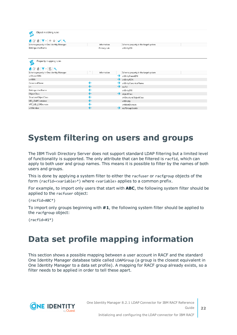| Object matching rules<br>౷                                                    |              |                                      |
|-------------------------------------------------------------------------------|--------------|--------------------------------------|
| $E \times E$ $\mathbf{Y}$ $\mathbf{Y}$ $\mathbf{Y}$ $\mathbf{Y}$ $\mathbf{X}$ |              |                                      |
| Schema property in One Identity Manager                                       | Information  | Schema property in the target system |
| DistinguishedName                                                             | Primary rule | vrtEntryDN                           |
|                                                                               |              |                                      |
| Property mapping rules<br>Ó                                                   |              |                                      |
| $1287.$                                                                       |              |                                      |
| Schema property in One Identity Manager                                       | Information  | Schema property in the target system |
| vrtParentRDN                                                                  |              | vrtEntryParentDN                     |
| vrtRDN                                                                        |              | vrtEntryRDN                          |
| CanonicalName                                                                 | ←            | vrtEntryCanonicalName                |
| cn                                                                            |              | →<br>racfid                          |
| DistinguishedName                                                             |              | vrtEntryDN                           |
| ObjectClass                                                                   |              | →<br>objectClass                     |
| StructuralObjectClass                                                         |              | vrtStructuralObjectClass             |
| UID_LDAPContainer                                                             | ←            | vrtEmpty                             |
| VRT_UID_LDPDomain                                                             |              | vrtidentDomain                       |
| vrtMember                                                                     | ←            | racfGroupUserids<br>→                |

### <span id="page-21-0"></span>**System filtering on users and groups**

The IBM Tivoli Directory Server does not support standard LDAP filtering but a limited level of functionality is supported. The only attribute that can be filtered is racfid, which can apply to both user and group names. This means it is possible to filter by the names of both users and groups.

This is done by applying a system filter to either the racfuser or racfgroup objects of the form (racfid=<variable>\*) where <variable> applies to a common prefix.

For example, to import only users that start with **ABC**, the following system filter should be applied to the racfuser object:

(racfid=ABC\*)

To import only groups beginning with **#1**, the following system filter should be applied to the racfgroup object:

<span id="page-21-1"></span>(racfid=#1\*)

### **Data set profile mapping information**

This section shows a possible mapping between a user account in RACF and the standard One Identity Manager database table called LDAPGroup (a group is the closest equivalent in One Identity Manager to a data set profile). A mapping for RACF group already exists, so a filter needs to be applied in order to tell these apart.



**22**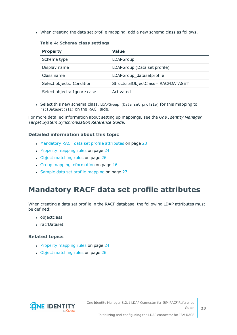• When creating the data set profile mapping, add a new schema class as follows.

#### **Table 4: Schema class settings**

| <b>Property</b>             | Value                               |
|-----------------------------|-------------------------------------|
| Schema type                 | LDAPGroup                           |
| Display name                | LDAPGroup (Data set profile)        |
| Class name                  | LDAPGroup_datasetprofile            |
| Select objects: Condition   | StructuralObjectClass='RACFDATASET' |
| Select objects: Ignore case | Activated                           |

• Select this new schema class, LDAPGroup (Data set profile) for this mapping to racfDataset(all) on the RACF side.

For more detailed information about setting up mappings, see the *One Identity Manager Target System Synchronization Reference Guide*.

#### **Detailed information about this topic**

- [Mandatory](#page-22-0) RACF data set profile attributes on page 23
- Property [mapping](#page-23-0) rules on page 24
- Object [matching](#page-25-0) rules on page 26
- Group mapping [information](#page-15-1) on page 16
- Sample data set profile [mapping](#page-26-0) on page 27

### <span id="page-22-0"></span>**Mandatory RACF data set profile attributes**

When creating a data set profile in the RACF database, the following LDAP attributes must be defined:

- objectclass
- racfDataset

#### **Related topics**

- Property [mapping](#page-23-0) rules on page 24
- Object [matching](#page-25-0) rules on page 26



**23**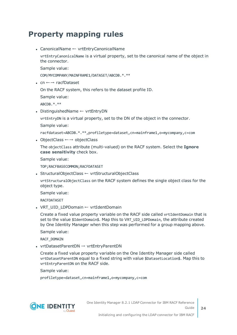### <span id="page-23-0"></span>**Property mapping rules**

• CanonicalName ← vrtEntryCanonicalName

vrtEntryCanonicalName is a virtual property, set to the canonical name of the object in the connector.

Sample value:

COM/MYCOMPANY/MAINFRAME1/DATASET/ABCDB.\*.\*\*

• cn  $\leftarrow \rightarrow$  racfDataset

On the RACF system, this refers to the dataset profile ID.

Sample value:

ABCDB.\*.\*\*

• DistinguishedName ← vrtEntryDN

vrtEntryDN is a virtual property, set to the DN of the object in the connector.

Sample value:

racfdataset=ABCDB.\*.\*\*,profiletype=dataset,cn=mainframe1,o=mycompany,c=com

• ObjectClass  $\leftarrow$  → objectClass

The objectClass attribute (multi-valued) on the RACF system. Select the **Ignore case sensitivity** check box.

Sample value:

TOP;RACFBASECOMMON;RACFDATASET

• StructuralObjectClass ← vrtStructuralObjectClass

vrtStructuralObjectClass on the RACF system defines the single object class for the object type.

Sample value:

RACFDATASET

• VRT UID LDPDomain ← vrtIdentDomain

Create a fixed value property variable on the RACF side called vrtIdentDomain that is set to the value \$IdentDomain\$. Map this to VRT UID LDPDomain, the attribute created by One Identity Manager when this step was performed for a group mapping above.

Sample value:

RACF\_DOMAIN

• vrtDatasetParentDN  $\rightarrow$  vrtEntryParentDN

Create a fixed value property variable on the One Identity Manager side called vrtDatasetParentDN equal to a fixed string with value \$DatasetLocation\$. Map this to vrtEntryParentDN on the RACF side.

Sample value:

profiletype=dataset,cn=mainframe1,o=mycompany,c=com

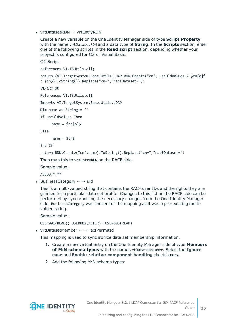• vrtDatasetRDN  $\rightarrow$  vrtEntryRDN

Create a new variable on the One Identity Manager side of type **Script Property** with the name vrtDatasetRDN and a data type of **String**. In the **Scripts** section, enter one of the following scripts in the **Read script** section, depending whether your project is configured for C# or Visual Basic.

```
C# Script
```
references VI.TSUtils.dll;

return (VI.TargetSystem.Base.Utils.LDAP.RDN.Create("cn", useOldValues ? \$cn[o]\$ : \$cn\$).ToString()).Replace("cn=","racfDataset=");

VB Script

References VI.TSUtils.dll

Imports VI.TargetSystem.Base.Utils.LDAP

```
Dim name as String = ""
```
If useOldValues Then

 $name = $cn[o]$ \$

Else

 $name = $cn$$ 

End If

return RDN.Create("cn",name).ToString().Replace("cn=","racfDataset=")

Then map this to vrtEntryRDN on the RACF side.

Sample value:

ABCDB.\*.\*\*

• BusinessCategory  $\leftarrow \rightarrow$  uid

This is a multi-valued string that contains the RACF user IDs and the rights they are granted for a particular data set profile. Changes to this list on the RACF side can be performed by synchronizing the necessary changes from the One Identity Manager side. BusinessCategory was chosen for the mapping as it was a pre-existing multivalued string.

Sample value:

USER001(READ); USER002(ALTER); USER003(READ)

• vrtDatasetMember ←→ racfPermitId

This mapping is used to synchronize data set membership information.

- 1. Create a new virtual entry on the One Identity Manager side of type **Members of M:N schema types** with the name vrtDatasetMember. Select the **Ignore case** and **Enable relative component handling** check boxes.
- 2. Add the following M:N schema types:

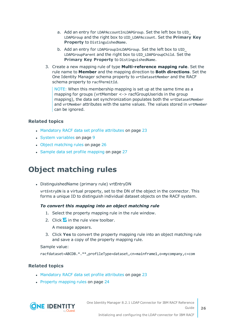- a. Add an entry for LDAPAccountInLDAPGroup. Set the left box to UID\_ LDAPGroup and the right box to UID\_LDAPAccount. Set the **Primary Key Property** to DistinguishedName.
- b. Add an entry for LDAPGroupInLDAPGroup. Set the left box to UID\_ LDAPGroupParent and the right box to UID\_LDAPGroupChild. Set the **Primary Key Property** to DistinguishedName.
- 3. Create a new mapping rule of type **Multi-reference mapping rule**. Set the rule name to **Member** and the mapping direction to **Both directions**. Set the One Identity Manager schema property to vrtDatasetMember and the RACF schema property to racfPermitId.

NOTE: When this membership mapping is set up at the same time as a mapping for groups (vrtMember <-> racfGroupUserids in the group mapping), the data set synchronization populates both the vrtDatasetMember and vrtMember attributes with the same values. The values stored in vrtMember can be ignored.

### **Related topics**

- [Mandatory](#page-22-0) RACF data set profile attributes on page 23
- System [variables](#page-8-0) on page 9
- Object [matching](#page-25-0) rules on page 26
- Sample data set profile [mapping](#page-26-0) on page 27

### <span id="page-25-0"></span>**Object matching rules**

• DistinguishedName (primary rule) vrtEntryDN

vrtEntryDN is a virtual property, set to the DN of the object in the connector. This forms a unique ID to distinguish individual dataset objects on the RACF system.

#### *To convert this mapping into an object matching rule*

- 1. Select the property mapping rule in the rule window.
- 2. Click  $\Omega$  in the rule view toolbar.

A message appears.

3. Click **Yes** to convert the property mapping rule into an object matching rule and save a copy of the property mapping rule.

#### Sample value:

racfdataset=ABCDB.\*.\*\*,profileType=dataset,cn=mainframe1,o=mycompany,c=com

#### **Related topics**

- [Mandatory](#page-22-0) RACF data set profile attributes on page 23
- Property [mapping](#page-23-0) rules on page 24

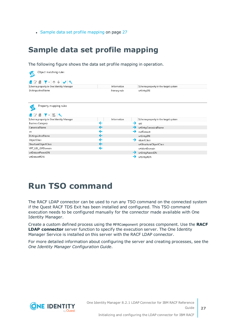• Sample data set profile [mapping](#page-26-0) on page 27

### <span id="page-26-0"></span>**Sample data set profile mapping**

The following figure shows the data set profile mapping in operation.

| Object matching rules<br>Ø                                  |              |   |                                      |
|-------------------------------------------------------------|--------------|---|--------------------------------------|
| ■C個下-  个↓ V   ベ                                             |              |   |                                      |
| Schema property in One Identity Manager                     | Information  |   | Schema property in the target system |
| DistinguishedName                                           | Primary rule |   | vrtEntryDN                           |
| Property mapping rules<br>$\bullet$<br><b>+ 2 8 7 - 5 *</b> |              |   |                                      |
| Schema property in One Identity Manager                     | Information  |   | Schema property in the target system |
| BusinessCategory                                            | ᡩ            | → | uid                                  |
| CanonicalName                                               |              |   | vrtEntryCanonicalName                |
| cn                                                          |              |   | racfDataset                          |
| DistinguishedName                                           | ←            |   | vrtEntryDN                           |
| ObjectClass                                                 | ←            |   | objectClass                          |
| StructuralObjectClass                                       | ←            |   | vrtStructuralObjectClass             |
| VRT_UID_LDPDomain                                           | ←            |   | vrtldentDomain                       |
| vrtDatasetParentDN                                          |              |   | vrtEntryParentDN                     |
| vrtDatasetRDN                                               |              |   | vrtEntryRDN                          |

### <span id="page-26-1"></span>**Run TSO command**

The RACF LDAP connector can be used to run any TSO command on the connected system if the Quest RACF TDS Exit has been installed and configured. This TSO command execution needs to be configured manually for the connector made available with One Identity Manager.

Create a custom defined process using the MFRComponent process component. Use the **RACF LDAP connector** server function to specify the execution server. The One Identity Manager Service is installed on this server with the RACF LDAP connector.

For more detailed information about configuring the server and creating processes, see the *One Identity Manager Configuration Guide*.

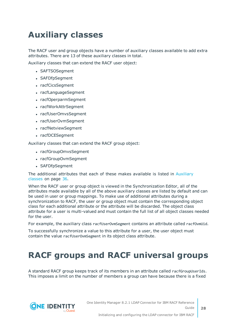### <span id="page-27-0"></span>**Auxiliary classes**

The RACF user and group objects have a number of auxiliary classes available to add extra attributes. There are 13 of these auxiliary classes in total.

Auxiliary classes that can extend the RACF user object:

- SAFTSOSegment
- SAFDfpSegment
- racfCicsSegment
- racfLanguageSegment
- racfOperparmSegment
- racfWorkAttrSegment
- racfUserOmvsSegment
- racfUserOvmSegment
- racfNetviewSegment
- racfDCESegment

Auxiliary classes that can extend the RACF group object:

- racfGroupOmvsSegment
- racfGroupOvmSegment
- SAFDfpSegment

The additional attributes that each of these makes available is listed in [Auxiliary](#page-35-0) [classes](#page-35-0) on page 36.

When the RACF user or group object is viewed in the Synchronization Editor, all of the attributes made available by all of the above auxiliary classes are listed by default and can be used in user or group mappings. To make use of additional attributes during a synchronization to RACF, the user or group object must contain the corresponding object class for each additional attribute or the attribute will be discarded. The object class attribute for a user is multi-valued and must contain the full list of all object classes needed for the user.

For example, the auxiliary class racfUserOvmSegment contains an attribute called racfOvmUid.

To successfully synchronize a value to this attribute for a user, the user object must contain the value racfUserOvmSegment in its object class attribute.

### <span id="page-27-1"></span>**RACF groups and RACF universal groups**

A standard RACF group keeps track of its members in an attribute called racfGroupUserIds. This imposes a limit on the number of members a group can have because there is a fixed

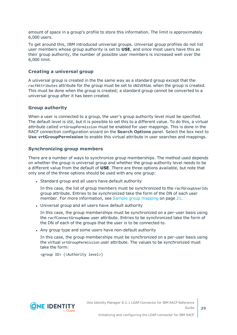amount of space in a group's profile to store this information. The limit is approximately 6,000 users.

To get around this, IBM introduced universal groups. Universal group profiles do not list user members whose group authority is set to **USE**, and since most users have this as their group authority, the number of possible user members is increased well over the 6,000 limit.

### **Creating a universal group**

A universal group is created in the the same way as a standard group except that the racfAttributes attribute for the group must be set to UNIVERSAL when the group is created. This must be done when the group is created; a standard group cannot be converted to a universal group after it has been created.

#### **Group authority**

When a user is connected to a group, the user's group authority level must be specified. The default level is USE, but it is possible to set this to a different value. To do this, a virtual attribute called vrtGroupPermission must be enabled for user mappings. This is done in the RACF connection configuration wizard on the **Search Options** panel. Select the box next to **Use vrtGroupPermission** to enable this virtual attribute in user searches and mappings.

### **Synchronizing group members**

There are a number of ways to synchronize group memberships. The method used depends on whether the group is universal group and whether the group authority level needs to be a different value from the default of **USE**. There are three options available, but note that only one of the three options should be used with any one group:

• Standard group and all users have default authority

In this case, the list of group members must be synchronized to the racfGroupUserIds group attribute. Entries to be synchronized take the form of the DN of each user member. For more [information,](#page-20-1) see Sample group mapping on page 21.

• Universal group and all users have default authority

In this case, the group memberships must be synchronized on a per-user basis using the racfConnectGroupName user attribute. Entries to be synchronized take the form of the DN of each of the groups that the user is to be connected to.

• Any group type and some users have non-default authority

In this case, the group memberships must be synchronized on a per-user basis using the virtual vrtGroupPermission user attribute. The values to be synchronized must take the form:

<group ID> (<Authority level>)

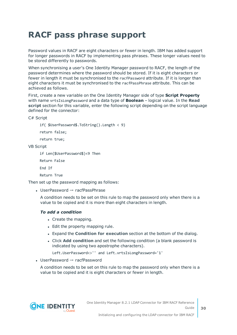## <span id="page-29-0"></span>**RACF pass phrase support**

Password values in RACF are eight characters or fewer in length. IBM has added support for longer passwords in RACF by implementing pass phrases. These longer values need to be stored differently to passwords.

When synchronising a user's One Identity Manager password to RACF, the length of the password determines where the password should be stored. If it is eight characters or fewer in length it must be synchronised to the racfPassword attribute. If it is longer than eight characters it must be synchronised to the racfPassPhrase attribute. This can be achieved as follows.

First, create a new variable on the One Identity Manager side of type **Script Property** with name vrtsIsLongPassword and a data type of **Boolean** – logical value. In the **Read script** section for this variable, enter the following script depending on the script language defined for the connector:

C# Script

```
if( $UserPassword$.ToString().Length < 9)
```
return false;

return true;

VB Script

```
if Len($UserPassword$)<9 Then
```
Return False

End If

Return True

Then set up the password mapping as follows:

• UserPassword  $→$  racfPassPhrase

A condition needs to be set on this rule to map the password only when there is a value to be copied and it is more than eight characters in length.

#### *To add a condition*

- Create the mapping.
- Edit the property mapping rule.
- <sup>l</sup> Expand the **Condition for execution** section at the bottom of the dialog.
- **.** Click **Add condition** and set the following condition (a blank password is indicated by using two apostrophe characters).

Left.UserPassword<>'' and Left.vrtsIsLongPassword='1'

• UserPassword  $→$  racfPassword

A condition needs to be set on this rule to map the password only when there is a value to be copied and it is eight characters or fewer in length.

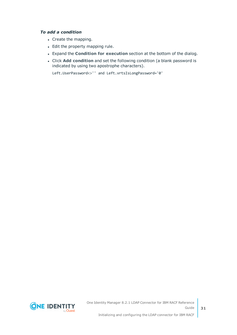#### *To add a condition*

- Create the mapping.
- Edit the property mapping rule.
- <sup>l</sup> Expand the **Condition for execution** section at the bottom of the dialog.
- <sup>l</sup> Click **Add condition** and set the following condition (a blank password is indicated by using two apostrophe characters).

```
Left.UserPassword<>'' and Left.vrtsIsLongPassword='0'
```
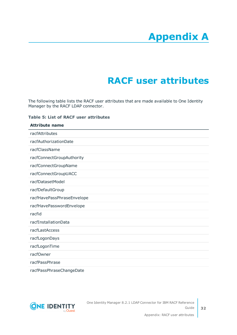# **Appendix A**

# **Appendix:RACF user attributes**

<span id="page-31-0"></span>The following table lists the RACF user attributes that are made available to One Identity Manager by the RACF LDAP connector.

#### **Table 5: List of RACF user attributes**

| <b>Attribute name</b>      |
|----------------------------|
| racfAttributes             |
| racfAuthorizationDate      |
| racfClassName              |
| racfConnectGroupAuthority  |
| racfConnectGroupName       |
| racfConnectGroupUACC       |
| racfDatasetModel           |
| racfDefaultGroup           |
| racfHavePassPhraseEnvelope |
| racfHavePasswordEnvelope   |
| racfid                     |
| racfInstallationData       |
| racfLastAccess             |
| racfLogonDays              |
| racfLogonTime              |
| racfOwner                  |
| racfPassPhrase             |
| racfPassPhraseChangeDate   |

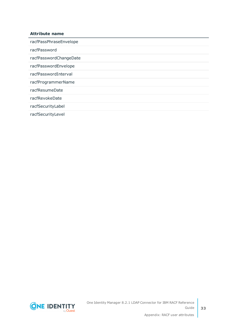### **Attribute name**

racfPassPhraseEnvelope racfPassword racfPasswordChangeDate racfPasswordEnvelope racfPasswordInterval racfProgrammerName racfResumeDate racfRevokeDate racfSecurityLabel

racfSecurityLevel

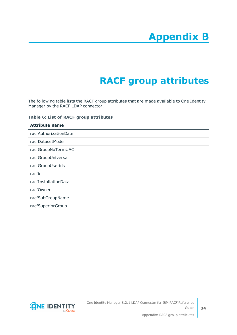# **Appendix B**

# **Appendix:RACF group attributes**

<span id="page-33-0"></span>The following table lists the RACF group attributes that are made available to One Identity Manager by the RACF LDAP connector.

#### **Table 6: List of RACF group attributes**

| <b>Attribute name</b> |
|-----------------------|
| racfAuthorizationDate |
| racfDatasetModel      |
| racfGroupNoTermUAC    |
| racfGroupUniversal    |
| racfGroupUserids      |
| racfid                |
| racfInstallationData  |
| racfOwner             |
| racfSubGroupName      |
| racfSuperiorGroup     |

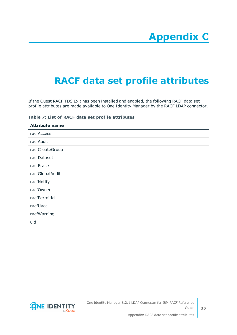# <span id="page-34-0"></span>**Appendix:RACF data set profile attributes**

If the Quest RACF TDS Exit has been installed and enabled, the following RACF data set profile attributes are made available to One Identity Manager by the RACF LDAP connector.

#### **Table 7: List of RACF data set profile attributes**

| <b>Attribute name</b> |
|-----------------------|
| racfAccess            |
| racfAudit             |
| racfCreateGroup       |
| racfDataset           |
| racfErase             |
| racfGlobalAudit       |
| racfNotify            |
| racfOwner             |
| racfPermitid          |
| racfUacc              |
| racfWarning           |
| $\sim$ $\sim$         |

uid

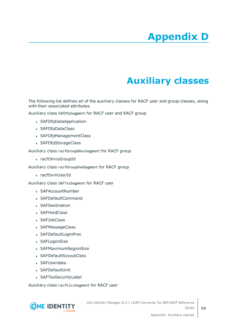# **Appendix D**

# **Appendix:Auxiliary classes**

<span id="page-35-0"></span>The following list defines all of the auxiliary classes for RACF user and group classes, along with their associated attributes.

Auxiliary class SAFDfpSegment for RACF user and RACF group

- SAFDfpDataApplication
- SAFDfpDataClass
- SAFDfpManagementClass
- SAFDfpStorageClass

Auxiliary class racfGroupOmvsSegment for RACF group

• racfOmvsGroupId

Auxiliary class racfGroupOvmSegment for RACF group

• racfOvmUserId

Auxiliary class SAFTsoSegment for RACF user

- SAFAccountNumber
- SAFDefaultCommand
- SAFDestination
- SAFHoldClass
- SAFJobClass
- SAFMessageClass
- SAFDefaultLoginProc
- SAFLogonSize
- SAFMaximumRegionSize
- SAFDefaultSysoutClass
- SAFUserdata
- SAFDefaultUnit
- SAFTsoSecurityLabel

Auxiliary class racfCicsSegment for RACF user

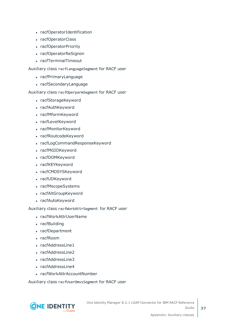- racfOperatorIdentification
- racfOperatorClass
- racfOperatorPriority
- racfOperatorReSignon
- racfTerminalTimeout

Auxiliary class racfLanguageSegment for RACF user

- racfPrimaryLanguage
- racfSecondaryLanguage

Auxiliary class racfOperparmSegment for RACF user

- racfStorageKeyword
- racfAuthKeyword
- racfMformKeyword
- racfLevelKeyword
- racfMonitorKeyword
- racfRoutcodeKeyword
- racfLogCommandResponseKeyword
- racfMGIDKeyword
- racfDOMKeyword
- racfKEYKeyword
- racfCMDSYSKeyword
- racfUDKeyword
- racfMscopeSystems
- racfAltGroupKeyword
- racfAutoKeyword

Auxiliary class racfWorkAttrSegment for RACF user

- racfWorkAttrUserName
- racfBuilding
- racfDepartment
- $rac{1}{2}$  racfRoom
- racfAddressLine1
- racfAddressLine2
- racfAddressLine3
- racfAddressLine4
- racfWorkAttrAccountNumber

Auxiliary class racfUserOmvsSegment for RACF user

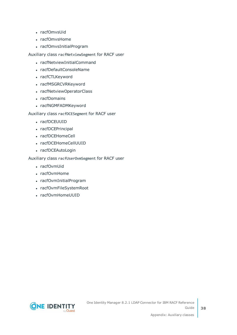- racfOmvsUid
- racfOmvsHome
- racfOmvsInitialProgram

Auxiliary class racfNetviewSegment for RACF user

- racfNetviewInitialCommand
- racfDefaultConsoleName
- racfCTLKeyword
- racfMSGRCVRKeyword
- racfNetviewOperatorClass
- racfDomains
- racfNGMFADMKeyword

Auxiliary class racfDCESegment for RACF user

- racfDCEUUID
- racfDCEPrincipal
- racfDCEHomeCell
- racfDCEHomeCellUUID
- racfDCEAutoLogin

Auxiliary class racfUserOvmSegment for RACF user

- racfOvmUid
- racfOvmHome
- racfOvmInitialProgram
- racfOvmFileSystemRoot
- racfOvmHomeUUID